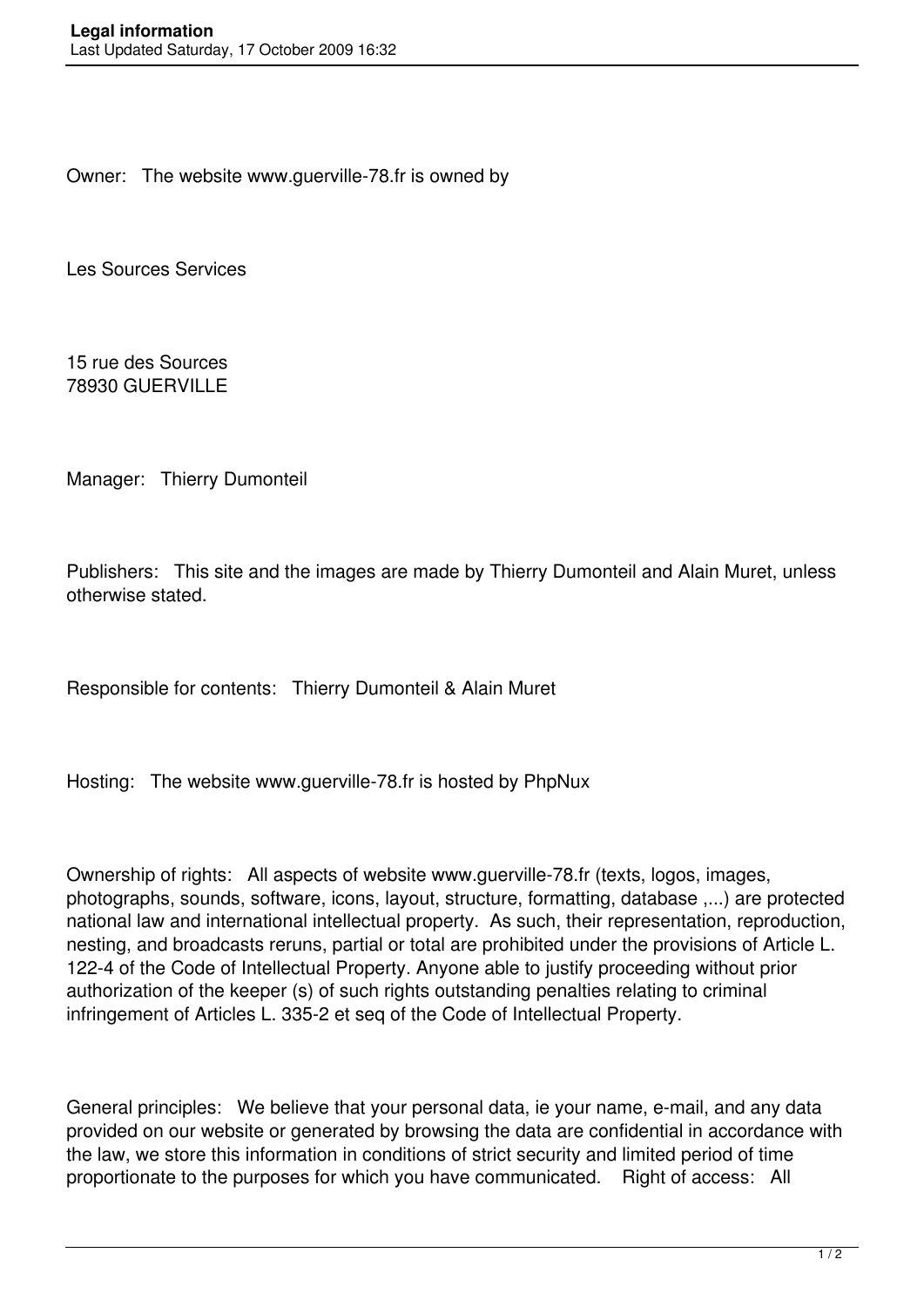Owner: The website www.guerville-78.fr is owned by

Les Sources Services

15 rue des Sources 78930 GUERVILLE

Manager: Thierry Dumonteil

Publishers: This site and the images are made by Thierry Dumonteil and Alain Muret, unless otherwise stated.

Responsible for contents: Thierry Dumonteil & Alain Muret

Hosting: The website www.guerville-78.fr is hosted by PhpNux

Ownership of rights: All aspects of website www.guerville-78.fr (texts, logos, images, photographs, sounds, software, icons, layout, structure, formatting, database ,...) are protected national law and international intellectual property. As such, their representation, reproduction, nesting, and broadcasts reruns, partial or total are prohibited under the provisions of Article L. 122-4 of the Code of Intellectual Property. Anyone able to justify proceeding without prior authorization of the keeper (s) of such rights outstanding penalties relating to criminal infringement of Articles L. 335-2 et seq of the Code of Intellectual Property.

General principles: We believe that your personal data, ie your name, e-mail, and any data provided on our website or generated by browsing the data are confidential in accordance with the law, we store this information in conditions of strict security and limited period of time proportionate to the purposes for which you have communicated. Right of access: All